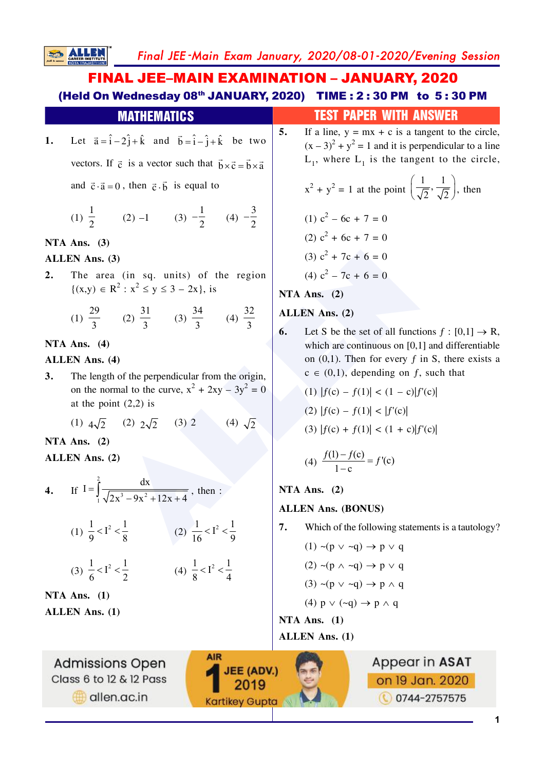Final JEE-Main Exam January, 2020/08-01-2020/Evening Session

**FINAL JEE-MAIN EXAMINATION - JANUARY, 2020** (Held On Wednesday 08th JANUARY, 2020) TIME : 2:30 PM to 5:30 PM

Let  $\vec{a} = \hat{i} - 2\hat{j} + \hat{k}$  and  $\vec{b} = \hat{i} - \hat{j} + \hat{k}$  be two 1. vectors. If  $\vec{c}$  is a vector such that  $\vec{b} \times \vec{c} = \vec{b} \times \vec{a}$ 

**MATHEMATICS** 

and  $\vec{c} \cdot \vec{a} = 0$ , then  $\vec{c} \cdot \vec{b}$  is equal to

(1) 
$$
\frac{1}{2}
$$
 (2) -1 (3)  $-\frac{1}{2}$  (4)  $-\frac{3}{2}$ 

NTA Ans.  $(3)$ 

**SALLE** 

#### **ALLEN Ans. (3)**

 $2.$ The area (in sq. units) of the region  $\{(x,y) \in R^2 : x^2 \le y \le 3 - 2x\},\$ is

(1) 
$$
\frac{29}{3}
$$
 (2)  $\frac{31}{3}$  (3)  $\frac{34}{3}$  (4)  $\frac{32}{3}$ 

## NTA Ans.  $(4)$

# **ALLEN Ans. (4)**

The length of the perpendicular from the origin,  $\overline{3}$ . on the normal to the curve,  $x^2 + 2xy - 3y^2 = 0$ at the point  $(2,2)$  is

(1)  $4\sqrt{2}$  (2)  $2\sqrt{2}$  (3) 2 (4)  $\sqrt{2}$ 

NTA Ans.  $(2)$ 

ALLEN Ans. (2)

4. If  $I = \int_{0}^{2} \frac{dx}{\sqrt{2x^3 - 9x^2 + 12x + 4}}$ , then :

(1) 
$$
\frac{1}{9} < I^2 < \frac{1}{8}
$$
 (2)  $\frac{1}{16} < I^2 < \frac{1}{9}$ 

$$
(3) \ \frac{1}{6} < I^2 < \frac{1}{2} \qquad \qquad (4) \ \frac{1}{8} < I^2 < \frac{1}{4}
$$

**AIR** 

JEE (ADV.)

2019

**Kartikey Gupta** 

NTA Ans.  $(1)$ **ALLEN Ans. (1)** 

**Admissions Open** Class 6 to 12 & 12 Pass allen.ac.in

# **TEST PAPER WITH ANSWER**

If a line,  $y = mx + c$  is a tangent to the circle,  $5.$  $(x-3)^2 + y^2 = 1$  and it is perpendicular to a line  $L_1$ , where  $L_1$  is the tangent to the circle,

$$
x^{2} + y^{2} = 1 \text{ at the point } \left(\frac{1}{\sqrt{2}}, \frac{1}{\sqrt{2}}\right), \text{ then}
$$
  
(1)  $c^{2} - 6c + 7 = 0$   
(2)  $c^{2} + 6c + 7 = 0$   
(3)  $c^{2} + 7c + 6 = 0$   
(4)  $c^{2} - 7c + 6 = 0$ 

NTA Ans.  $(2)$ 

# ALLEN Ans. (2)

Let S be the set of all functions  $f : [0,1] \rightarrow R$ , 6. which are continuous on  $[0,1]$  and differentiable on  $(0,1)$ . Then for every f in S, there exists a  $c \in (0,1)$ , depending on f, such that

(1) 
$$
|f(c) - f(1)| < (1 - c)|f'(c)|
$$

(2)  $|f(c) - f(1)| < |f'(c)|$ 

(3) 
$$
|f(c) + f(1)| < (1 + c)|f'(c)|
$$

(4) 
$$
\frac{f(1) - f(c)}{1 - c} = f'(c)
$$

NTA Ans.  $(2)$ 

# **ALLEN Ans. (BONUS)**

 $7.$ Which of the following statements is a tautology?

$$
(1) \sim (p \lor \sim q) \to p \lor q
$$
  

$$
(2) \sim (p \land \sim q) \to p \lor q
$$
  

$$
(3) \sim (p \lor \sim q) \to p \land q
$$
  

$$
(4) p \lor (\sim q) \to p \land q
$$

NTA Ans.  $(1)$ 

**ALLEN Ans. (1)**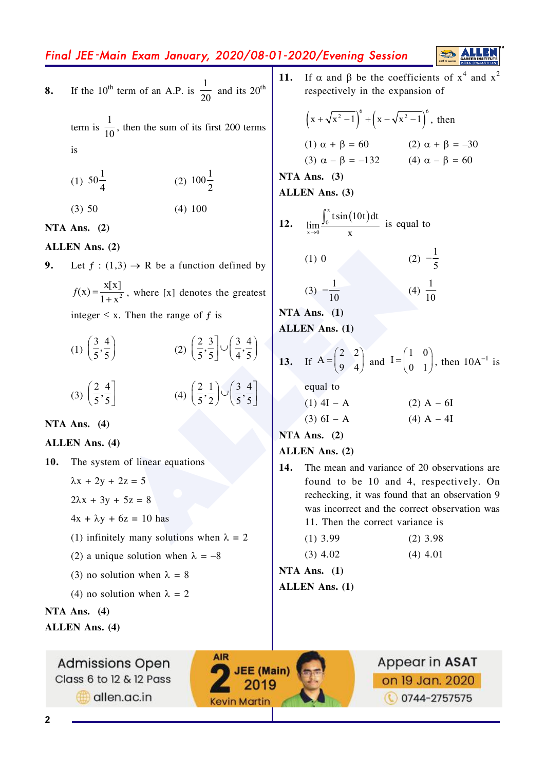# Final JEE-Main Exam January, 2020/08-01-2020/Evening Session

If the 10<sup>th</sup> term of an A.P. is  $\frac{1}{20}$  and its 20<sup>th</sup> 8. term is  $\frac{1}{10}$ , then the sum of its first 200 terms

> (1)  $50\frac{1}{4}$ (2)  $100\frac{1}{2}$  $(3) 50$  $(4)$  100

NTA Ans.  $(2)$ 

 $is$ 

# ALLEN Ans. (2)

Let  $f:(1,3) \rightarrow \mathbb{R}$  be a function defined by 9.  $f(x) = \frac{x[x]}{1 + x^2}$ , where [x] denotes the greatest integer  $\leq x$ . Then the range of f is

(1) 
$$
\left(\frac{3}{5}, \frac{4}{5}\right)
$$
  
\n(2)  $\left(\frac{2}{5}, \frac{3}{5}\right] \cup \left(\frac{3}{4}, \frac{4}{5}\right)$   
\n(3)  $\left(\frac{2}{5}, \frac{4}{5}\right]$   
\n(4)  $\left(\frac{2}{5}, \frac{1}{2}\right) \cup \left(\frac{3}{5}, \frac{4}{5}\right]$ 

#### NTA Ans. (4)

#### **ALLEN** Ans. (4)

10. The system of linear equations

> $\lambda x + 2y + 2z = 5$  $2\lambda x + 3y + 5z = 8$  $4x + \lambda y + 6z = 10$  has (1) infinitely many solutions when  $\lambda = 2$ (2) a unique solution when  $\lambda = -8$ (3) no solution when  $\lambda = 8$ (4) no solution when  $\lambda = 2$

**Admissions Open** 

Class 6 to 12 & 12 Pass

allen.ac.in

# NTA Ans.  $(4)$

**ALLEN Ans. (4)** 

If  $\alpha$  and  $\beta$  be the coefficients of  $x^4$  and  $x^2$  $11.$ respectively in the expansion of  $(x + \sqrt{x^2 - 1})^6 + (x - \sqrt{x^2 - 1})^6$ , then (1)  $\alpha + \beta = 60$  (2)  $\alpha + \beta = -30$ (3)  $\alpha - \beta = -132$  (4)  $\alpha - \beta = 60$ NTA Ans.  $(3)$ **ALLEN Ans. (3)**  $\lim_{x\to 0} \frac{\int_0^x t \sin(10t) dt}{x}$  is equal to  $12.$ (2)  $-\frac{1}{5}$  $(1)0$ (4)  $\frac{1}{10}$  $(3) -\frac{1}{10}$ NTA Ans. (1)

**ALLE** 

**ALLEN Ans. (1)** 

**13.** If 
$$
A = \begin{pmatrix} 2 & 2 \\ 9 & 4 \end{pmatrix}
$$
 and  $I = \begin{pmatrix} 1 & 0 \\ 0 & 1 \end{pmatrix}$ , then  $10A^{-1}$  is

equal to  
\n(1) 
$$
4I - A
$$
  
\n(2)  $A - 6I$   
\n(3)  $6I - A$   
\n(4)  $A - 4I$ 

NTA Ans.  $(2)$ 

ALLEN Ans. (2)

14. The mean and variance of 20 observations are found to be 10 and 4, respectively. On rechecking, it was found that an observation 9 was incorrect and the correct observation was 11. Then the correct variance is

 $(4)$  4.01

| $(2)$ 3.98 |
|------------|
|            |

 $(3)$  4.02 NTA Ans.  $(1)$ 

# **ALLEN Ans. (1)**

**AIR** 

**JEE** (Main)

2019

**Kevin Martin** 



 $\overline{2}$